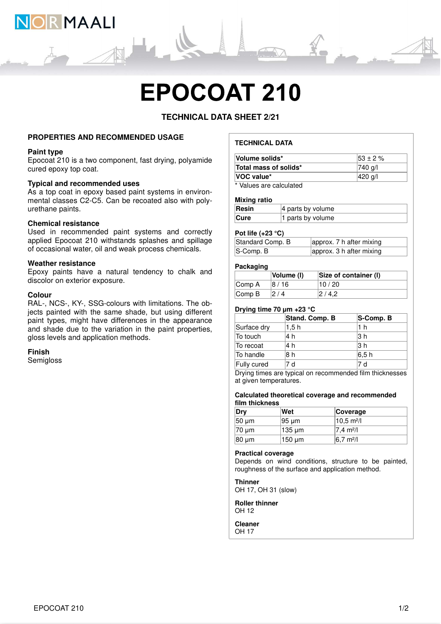

# **EPOCOAT 210**

# **TECHNICAL DATA SHEET 2/21**

#### **PROPERTIES AND RECOMMENDED USAGE**

#### **Paint type**

Epocoat 210 is a two component, fast drying, polyamide cured epoxy top coat.

#### **Typical and recommended uses**

As a top coat in epoxy based paint systems in environmental classes C2-C5. Can be recoated also with polyurethane paints.

#### **Chemical resistance**

Used in recommended paint systems and correctly applied Epocoat 210 withstands splashes and spillage of occasional water, oil and weak process chemicals.

#### **Weather resistance**

Epoxy paints have a natural tendency to chalk and discolor on exterior exposure.

#### **Colour**

RAL-, NCS-, KY-, SSG-colours with limitations. The objects painted with the same shade, but using different paint types, might have differences in the appearance and shade due to the variation in the paint properties, gloss levels and application methods.

#### **Finish**

**Semigloss** 

# **TECHNICAL DATA**

| Volume solids*                   | $153 \pm 2 \%$ |
|----------------------------------|----------------|
| Total mass of solids*            | 740 g/l        |
| <b>VOC value*</b>                | 420 g/l        |
| $*$ <i>Moluga are aplaulated</i> |                |

Values are calculated

#### **Mixing ratio**

| Resin       | $ 4$ parts by volume |
|-------------|----------------------|
| <b>Cure</b> | 1 parts by volume    |

#### **Pot life (+23 °C)**

| Standard Comp. B | approx. 7 h after mixing |
|------------------|--------------------------|
| $ S$ -Comp. $B$  | approx. 3 h after mixing |

#### **Packaging**

|                             | Volume (I) | Size of container (I) |
|-----------------------------|------------|-----------------------|
| Comp A                      | 8 / 16     | 10 / 20               |
| $\mathsf{Comp}\,\mathsf{B}$ | 2/4        | 2/4.2                 |

#### **Drying time 70 μm +23 °C**

|             | Stand. Comp. B | S-Comp. B |
|-------------|----------------|-----------|
| Surface dry | 1.5h           | 1 h       |
| To touch    | 4 h            | l3 h      |
| To recoat   | 4 h            | l3 h      |
| To handle   | 8 h            | l6.5 h    |
| Fully cured | 7 d            | 7 d       |

Drying times are typical on recommended film thicknesses at given temperatures.

#### **Calculated theoretical coverage and recommended film thickness**

| Dry         | Wet                | <b>Coverage</b>             |
|-------------|--------------------|-----------------------------|
| $50 \mu m$  | 195 um             | $10.5 \text{ m}^2$ /l       |
| $ 70 \mu m$ | $ 135 \text{ µm} $ | $ 7.4 \text{ m}^2/\text{l}$ |
| 80 µm       | 150 um             | $6.7 \text{ m}^2$ /I        |

#### **Practical coverage**

Depends on wind conditions, structure to be painted, roughness of the surface and application method.

# **Thinner**

OH 17, OH 31 (slow)

**Roller thinner** OH 12

**Cleaner** OH 17